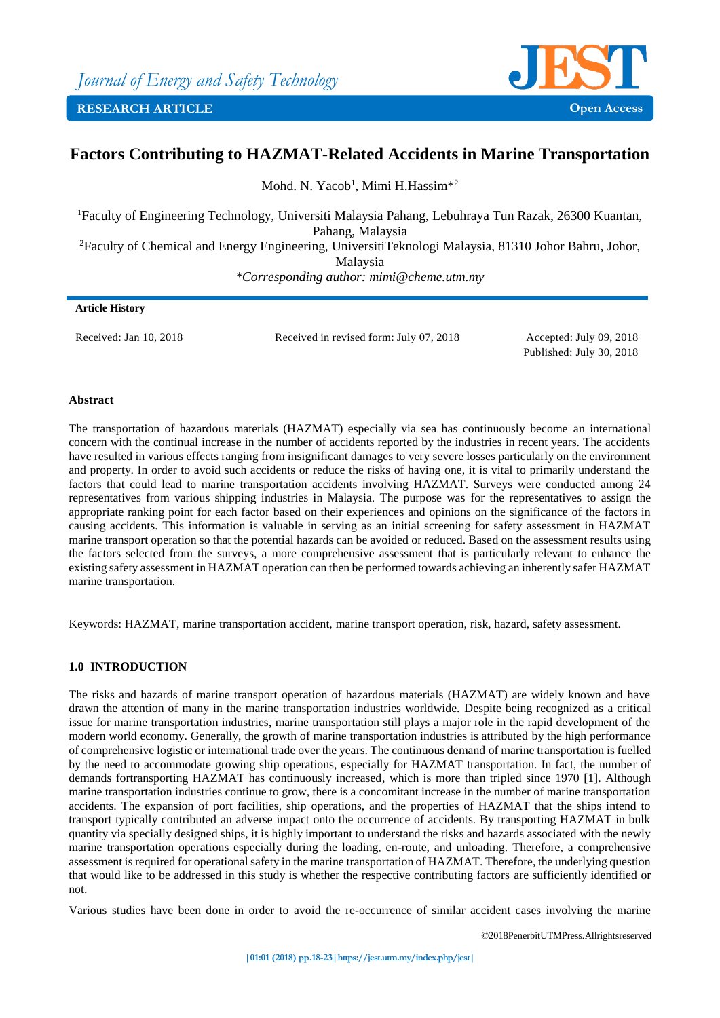

# **Factors Contributing to HAZMAT-Related Accidents in Marine Transportation**

Mohd. N. Yacob<sup>1</sup>, Mimi H.Hassim<sup>\*2</sup>

<sup>1</sup>Faculty of Engineering Technology, Universiti Malaysia Pahang, Lebuhraya Tun Razak, 26300 Kuantan, Pahang, Malaysia <sup>2</sup>Faculty of Chemical and Energy Engineering, UniversitiTeknologi Malaysia, 81310 Johor Bahru, Johor,

Malaysia

*\*Corresponding author: mimi@cheme.utm.my*

#### **Article History**

Received: Jan 10, 2018 Received in revised form: July 07, 2018 Accepted: July 09, 2018

Published: July 30, 2018

## **Abstract**

The transportation of hazardous materials (HAZMAT) especially via sea has continuously become an international concern with the continual increase in the number of accidents reported by the industries in recent years. The accidents have resulted in various effects ranging from insignificant damages to very severe losses particularly on the environment and property. In order to avoid such accidents or reduce the risks of having one, it is vital to primarily understand the factors that could lead to marine transportation accidents involving HAZMAT. Surveys were conducted among 24 representatives from various shipping industries in Malaysia. The purpose was for the representatives to assign the appropriate ranking point for each factor based on their experiences and opinions on the significance of the factors in causing accidents. This information is valuable in serving as an initial screening for safety assessment in HAZMAT marine transport operation so that the potential hazards can be avoided or reduced. Based on the assessment results using the factors selected from the surveys, a more comprehensive assessment that is particularly relevant to enhance the existing safety assessment in HAZMAT operation can then be performed towards achieving an inherently safer HAZMAT marine transportation.

Keywords: HAZMAT, marine transportation accident, marine transport operation, risk, hazard, safety assessment.

# **1.0 INTRODUCTION**

The risks and hazards of marine transport operation of hazardous materials (HAZMAT) are widely known and have drawn the attention of many in the marine transportation industries worldwide. Despite being recognized as a critical issue for marine transportation industries, marine transportation still plays a major role in the rapid development of the modern world economy. Generally, the growth of marine transportation industries is attributed by the high performance of comprehensive logistic or international trade over the years. The continuous demand of marine transportation is fuelled by the need to accommodate growing ship operations, especially for HAZMAT transportation. In fact, the number of demands fortransporting HAZMAT has continuously increased, which is more than tripled since 1970 [1]. Although marine transportation industries continue to grow, there is a concomitant increase in the number of marine transportation accidents. The expansion of port facilities, ship operations, and the properties of HAZMAT that the ships intend to transport typically contributed an adverse impact onto the occurrence of accidents. By transporting HAZMAT in bulk quantity via specially designed ships, it is highly important to understand the risks and hazards associated with the newly marine transportation operations especially during the loading, en-route, and unloading. Therefore, a comprehensive assessment is required for operational safety in the marine transportation of HAZMAT. Therefore, the underlying question that would like to be addressed in this study is whether the respective contributing factors are sufficiently identified or not.

Various studies have been done in order to avoid the re-occurrence of similar accident cases involving the marine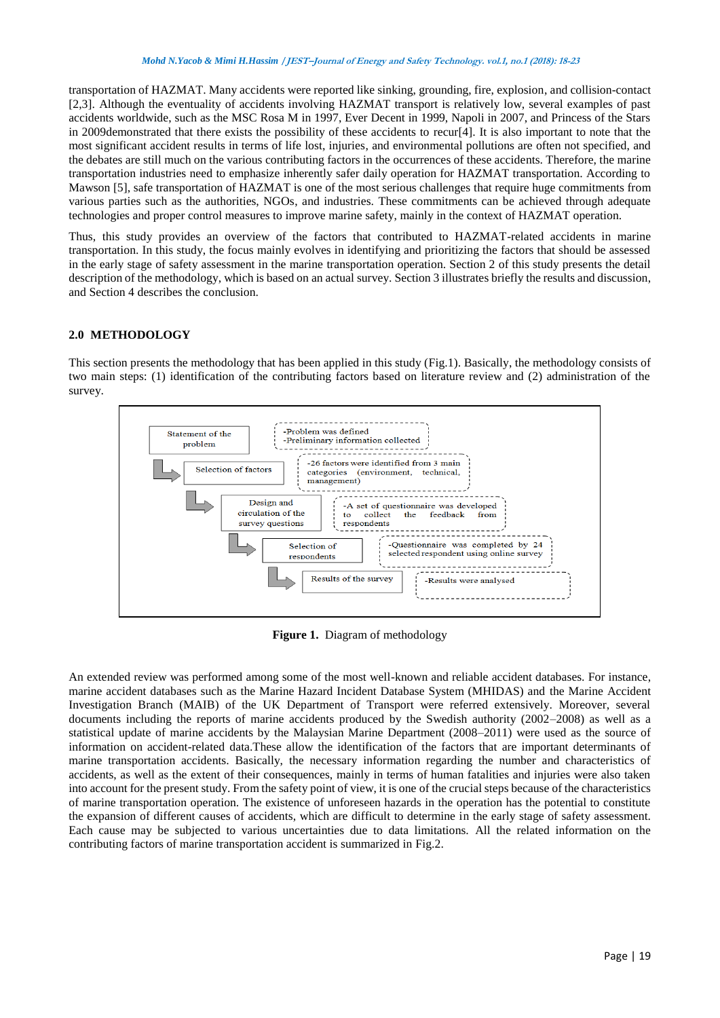transportation of HAZMAT. Many accidents were reported like sinking, grounding, fire, explosion, and collision-contact [2,3]. Although the eventuality of accidents involving HAZMAT transport is relatively low, several examples of past accidents worldwide, such as the MSC Rosa M in 1997, Ever Decent in 1999, Napoli in 2007, and Princess of the Stars in 2009demonstrated that there exists the possibility of these accidents to recur[4]. It is also important to note that the most significant accident results in terms of life lost, injuries, and environmental pollutions are often not specified, and the debates are still much on the various contributing factors in the occurrences of these accidents. Therefore, the marine transportation industries need to emphasize inherently safer daily operation for HAZMAT transportation. According to Mawson [5], safe transportation of HAZMAT is one of the most serious challenges that require huge commitments from various parties such as the authorities, NGOs, and industries. These commitments can be achieved through adequate technologies and proper control measures to improve marine safety, mainly in the context of HAZMAT operation.

Thus, this study provides an overview of the factors that contributed to HAZMAT-related accidents in marine transportation. In this study, the focus mainly evolves in identifying and prioritizing the factors that should be assessed in the early stage of safety assessment in the marine transportation operation. Section 2 of this study presents the detail description of the methodology, which is based on an actual survey. Section 3 illustrates briefly the results and discussion, and Section 4 describes the conclusion.

## **2.0 METHODOLOGY**

This section presents the methodology that has been applied in this study (Fig.1). Basically, the methodology consists of two main steps: (1) identification of the contributing factors based on literature review and (2) administration of the survey.



**Figure 1.** Diagram of methodology

An extended review was performed among some of the most well-known and reliable accident databases. For instance, marine accident databases such as the Marine Hazard Incident Database System (MHIDAS) and the Marine Accident Investigation Branch (MAIB) of the UK Department of Transport were referred extensively. Moreover, several documents including the reports of marine accidents produced by the Swedish authority (2002–2008) as well as a statistical update of marine accidents by the Malaysian Marine Department (2008–2011) were used as the source of information on accident-related data.These allow the identification of the factors that are important determinants of marine transportation accidents. Basically, the necessary information regarding the number and characteristics of accidents, as well as the extent of their consequences, mainly in terms of human fatalities and injuries were also taken into account for the present study. From the safety point of view, it is one of the crucial steps because of the characteristics of marine transportation operation. The existence of unforeseen hazards in the operation has the potential to constitute the expansion of different causes of accidents, which are difficult to determine in the early stage of safety assessment. Each cause may be subjected to various uncertainties due to data limitations. All the related information on the contributing factors of marine transportation accident is summarized in Fig.2.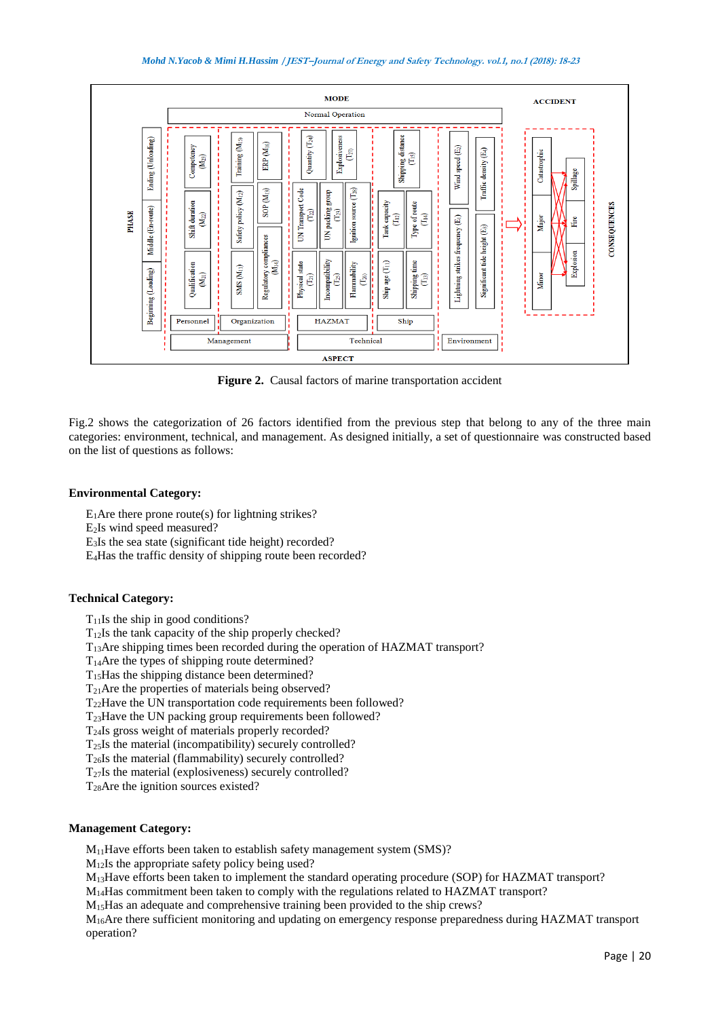

Figure 2. Causal factors of marine transportation accident

Fig.2 shows the categorization of 26 factors identified from the previous step that belong to any of the three main categories: environment, technical, and management. As designed initially, a set of questionnaire was constructed based on the list of questions as follows:

# **Environmental Category:**

 $E_1$ Are there prone route(s) for lightning strikes?

E2Is wind speed measured?

E3Is the sea state (significant tide height) recorded?

E4Has the traffic density of shipping route been recorded?

# **Technical Category:**

 $T_{11}$ Is the ship in good conditions?

 $T_{12}$ Is the tank capacity of the ship properly checked?

T13Are shipping times been recorded during the operation of HAZMAT transport?

 $T_{14}$ Are the types of shipping route determined?

T15Has the shipping distance been determined?

 $T_{21}$ Are the properties of materials being observed?

T22Have the UN transportation code requirements been followed?

T23Have the UN packing group requirements been followed?

T24Is gross weight of materials properly recorded?

 $T_{25}$ Is the material (incompatibility) securely controlled?

T26Is the material (flammability) securely controlled?

 $T_{27}$ Is the material (explosiveness) securely controlled?

T28Are the ignition sources existed?

# **Management Category:**

 $M_{11}$ Have efforts been taken to establish safety management system (SMS)?

M12Is the appropriate safety policy being used?

M13Have efforts been taken to implement the standard operating procedure (SOP) for HAZMAT transport?

M14Has commitment been taken to comply with the regulations related to HAZMAT transport?

M15Has an adequate and comprehensive training been provided to the ship crews?

M16Are there sufficient monitoring and updating on emergency response preparedness during HAZMAT transport operation?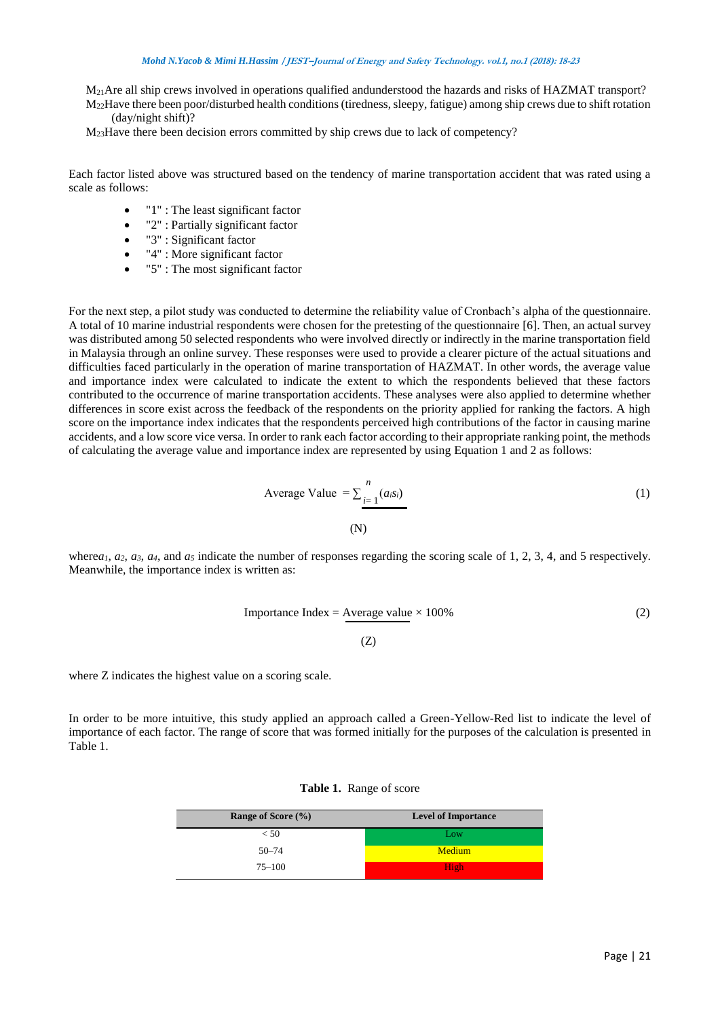### *Mohd N.Yacob & Mimi H.Hassim* **/JEST–Journal of Energy and Safety Technology. vol.1, no.1 (2018): 18-23**

M<sub>21</sub>Are all ship crews involved in operations qualified andunderstood the hazards and risks of HAZMAT transport? M22Have there been poor/disturbed health conditions (tiredness, sleepy, fatigue) among ship crews due to shift rotation

(day/night shift)?

M23Have there been decision errors committed by ship crews due to lack of competency?

Each factor listed above was structured based on the tendency of marine transportation accident that was rated using a scale as follows:

- "1" : The least significant factor
- "2" : Partially significant factor
- "3" : Significant factor
- "4" : More significant factor
- "5" : The most significant factor

For the next step, a pilot study was conducted to determine the reliability value of Cronbach's alpha of the questionnaire. A total of 10 marine industrial respondents were chosen for the pretesting of the questionnaire [6]. Then, an actual survey was distributed among 50 selected respondents who were involved directly or indirectly in the marine transportation field in Malaysia through an online survey. These responses were used to provide a clearer picture of the actual situations and difficulties faced particularly in the operation of marine transportation of HAZMAT. In other words, the average value and importance index were calculated to indicate the extent to which the respondents believed that these factors contributed to the occurrence of marine transportation accidents. These analyses were also applied to determine whether differences in score exist across the feedback of the respondents on the priority applied for ranking the factors. A high score on the importance index indicates that the respondents perceived high contributions of the factor in causing marine accidents, and a low score vice versa. In order to rank each factor according to their appropriate ranking point, the methods of calculating the average value and importance index are represented by using Equation 1 and 2 as follows:

Average Value 
$$
= \sum_{i=1}^{n} (a_i s_i)
$$
(1)

where $a_1$ ,  $a_2$ ,  $a_3$ ,  $a_4$ , and  $a_5$  indicate the number of responses regarding the scoring scale of 1, 2, 3, 4, and 5 respectively. Meanwhile, the importance index is written as:

Importance Index = Average value 
$$
\times 100\%
$$

\n(2)

\n(2)

where Z indicates the highest value on a scoring scale.

In order to be more intuitive, this study applied an approach called a Green-Yellow-Red list to indicate the level of importance of each factor. The range of score that was formed initially for the purposes of the calculation is presented in Table 1.

| Range of Score (%) | <b>Level of Importance</b> |  |  |  |  |  |
|--------------------|----------------------------|--|--|--|--|--|
| < 50               | Low                        |  |  |  |  |  |
| $50 - 74$          | Medium                     |  |  |  |  |  |
| $75 - 100$         | High                       |  |  |  |  |  |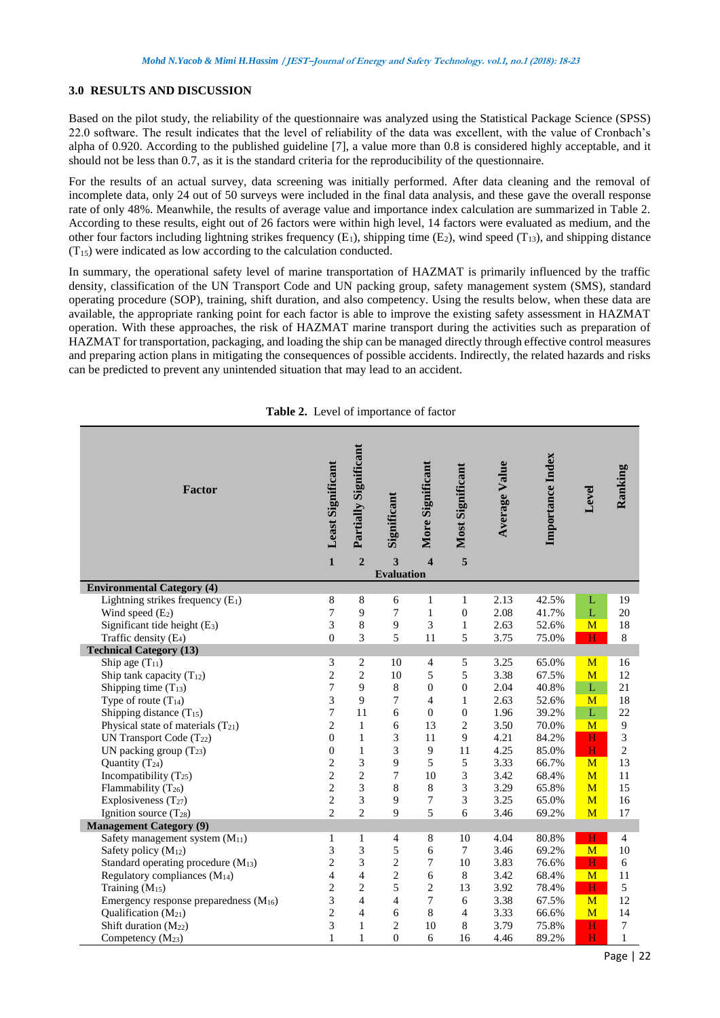#### **3.0 RESULTS AND DISCUSSION**

Based on the pilot study, the reliability of the questionnaire was analyzed using the Statistical Package Science (SPSS) 22.0 software. The result indicates that the level of reliability of the data was excellent, with the value of Cronbach's alpha of 0.920. According to the published guideline [7], a value more than 0.8 is considered highly acceptable, and it should not be less than 0.7, as it is the standard criteria for the reproducibility of the questionnaire.

For the results of an actual survey, data screening was initially performed. After data cleaning and the removal of incomplete data, only 24 out of 50 surveys were included in the final data analysis, and these gave the overall response rate of only 48%. Meanwhile, the results of average value and importance index calculation are summarized in Table 2. According to these results, eight out of 26 factors were within high level, 14 factors were evaluated as medium, and the other four factors including lightning strikes frequency  $(E_1)$ , shipping time  $(E_2)$ , wind speed  $(T_{13})$ , and shipping distance  $(T_{15})$  were indicated as low according to the calculation conducted.

In summary, the operational safety level of marine transportation of HAZMAT is primarily influenced by the traffic density, classification of the UN Transport Code and UN packing group, safety management system (SMS), standard operating procedure (SOP), training, shift duration, and also competency. Using the results below, when these data are available, the appropriate ranking point for each factor is able to improve the existing safety assessment in HAZMAT operation. With these approaches, the risk of HAZMAT marine transport during the activities such as preparation of HAZMAT for transportation, packaging, and loading the ship can be managed directly through effective control measures and preparing action plans in mitigating the consequences of possible accidents. Indirectly, the related hazards and risks can be predicted to prevent any unintended situation that may lead to an accident.

| Factor                                      | <b>Least Significant</b> | <b>Partially Significant</b> | Significant            | More Significant        | <b>Most Significant</b> | <b>Average Value</b> | Importance Index | Level                   | Ranking        |
|---------------------------------------------|--------------------------|------------------------------|------------------------|-------------------------|-------------------------|----------------------|------------------|-------------------------|----------------|
|                                             | $\mathbf{1}$             | $\overline{2}$               | 3<br><b>Evaluation</b> | $\overline{\mathbf{4}}$ | 5                       |                      |                  |                         |                |
| <b>Environmental Category (4)</b>           |                          |                              |                        |                         |                         |                      |                  |                         |                |
| Lightning strikes frequency $(E_1)$         | 8                        | 8                            | 6                      | 1                       | $\mathbf{1}$            | 2.13                 | 42.5%            | L                       | 19             |
| Wind speed (E <sub>2</sub> )                | $\overline{7}$           | 9                            | $\overline{7}$         | $\mathbf{1}$            | $\overline{0}$          | 2.08                 | 41.7%            | $\mathbf L$             | 20             |
| Significant tide height (E <sub>3</sub> )   | 3                        | $\,8\,$                      | $\mathbf{9}$           | 3                       | $\mathbf{1}$            | 2.63                 | 52.6%            | M                       | 18             |
| Traffic density (E <sub>4</sub> )           | $\overline{0}$           | 3                            | 5                      | 11                      | 5                       | 3.75                 | 75.0%            | H                       | 8              |
| <b>Technical Category (13)</b>              |                          |                              |                        |                         |                         |                      |                  |                         |                |
| Ship age $(T_{11})$                         | $\mathfrak{Z}$           | $\sqrt{2}$                   | 10                     | 4                       | 5                       | 3.25                 | 65.0%            | M                       | 16             |
| Ship tank capacity $(T_{12})$               | $\overline{c}$           | $\overline{2}$               | 10                     | 5                       | 5                       | 3.38                 | 67.5%            | M                       | 12             |
| Shipping time $(T_{13})$                    | $\overline{7}$           | 9                            | $\,$ 8 $\,$            | $\mathbf{0}$            | $\overline{0}$          | 2.04                 | 40.8%            | $\bar{L}$               | 21             |
| Type of route $(T_{14})$                    | 3                        | 9                            | 7                      | $\overline{4}$          | $\mathbf{1}$            | 2.63                 | 52.6%            | M                       | 18             |
| Shipping distance (T <sub>15</sub> )        | $\overline{7}$           | 11                           | 6                      | $\mathbf{0}$            | $\overline{0}$          | 1.96                 | 39.2%            | $\bar{L}$               | 22             |
| Physical state of materials (T21)           | $\overline{2}$           | $\mathbf{1}$                 | 6                      | 13                      | $\overline{c}$          | 3.50                 | 70.0%            | M                       | 9              |
| UN Transport Code (T22)                     | $\theta$                 | $\mathbf{1}$                 | 3                      | 11                      | 9                       | 4.21                 | 84.2%            | H                       | 3              |
| UN packing group $(T_{23})$                 | $\overline{0}$           | $\mathbf{1}$                 | 3                      | 9                       | 11                      | 4.25                 | 85.0%            | $\overline{\mathbf{H}}$ | $\overline{c}$ |
| Quantity (T <sub>24</sub> )                 | $\overline{c}$           | 3                            | 9                      | 5                       | 5                       | 3.33                 | 66.7%            | M                       | 13             |
| Incompatibility $(T_{25})$                  | $\overline{2}$           | $\overline{2}$               | $\boldsymbol{7}$       | 10                      | 3                       | 3.42                 | 68.4%            | M                       | 11             |
| Flammability $(T_{26})$                     | $\overline{c}$           | 3                            | $\,$ 8 $\,$            | $\,$ 8 $\,$             | 3                       | 3.29                 | 65.8%            | M                       | 15             |
| Explosiveness $(T_{27})$                    | $\sqrt{2}$               | 3                            | 9                      | 7                       | 3                       | 3.25                 | 65.0%            | M                       | 16             |
| Ignition source (T <sub>28</sub> )          | $\overline{c}$           | $\overline{c}$               | 9                      | 5                       | 6                       | 3.46                 | 69.2%            | M                       | 17             |
| <b>Management Category (9)</b>              |                          |                              |                        |                         |                         |                      |                  |                         |                |
| Safety management system (M <sub>11</sub> ) | 1                        | 1                            | $\overline{4}$         | 8                       | 10                      | 4.04                 | 80.8%            | H                       | 4              |
| Safety policy (M <sub>12</sub> )            | 3                        | 3                            | $\mathfrak s$          | 6                       | $\tau$                  | 3.46                 | 69.2%            | M                       | 10             |
| Standard operating procedure (M13)          | $\overline{c}$           | 3                            | $\mathbf{2}$           | 7                       | 10                      | 3.83                 | 76.6%            | H                       | 6              |
| Regulatory compliances (M <sub>14</sub> )   | $\overline{4}$           | $\overline{4}$               | $\overline{c}$         | 6                       | 8                       | 3.42                 | 68.4%            | M                       | 11             |
| Training $(M_{15})$                         | $\overline{c}$           | $\mathfrak{2}$               | 5                      | 2                       | 13                      | 3.92                 | 78.4%            | H                       | 5              |
| Emergency response preparedness $(M_{16})$  | 3                        | $\overline{4}$               | $\overline{4}$         | 7                       | 6                       | 3.38                 | 67.5%            | M                       | 12             |
| Qualification (M21)                         | $\overline{c}$           | $\overline{4}$               | 6                      | 8                       | $\overline{4}$          | 3.33                 | 66.6%            | M                       | 14             |
| Shift duration $(M_{22})$                   | 3                        | $\mathbf{1}$                 | $\mathbf{2}$           | 10                      | 8                       | 3.79                 | 75.8%            | H                       | $\overline{7}$ |
| Competency $(M_{23})$                       | 1                        | 1                            | $\boldsymbol{0}$       | 6                       | 16                      | 4.46                 | 89.2%            | H                       | $\mathbf{1}$   |

**Table 2.** Level of importance of factor